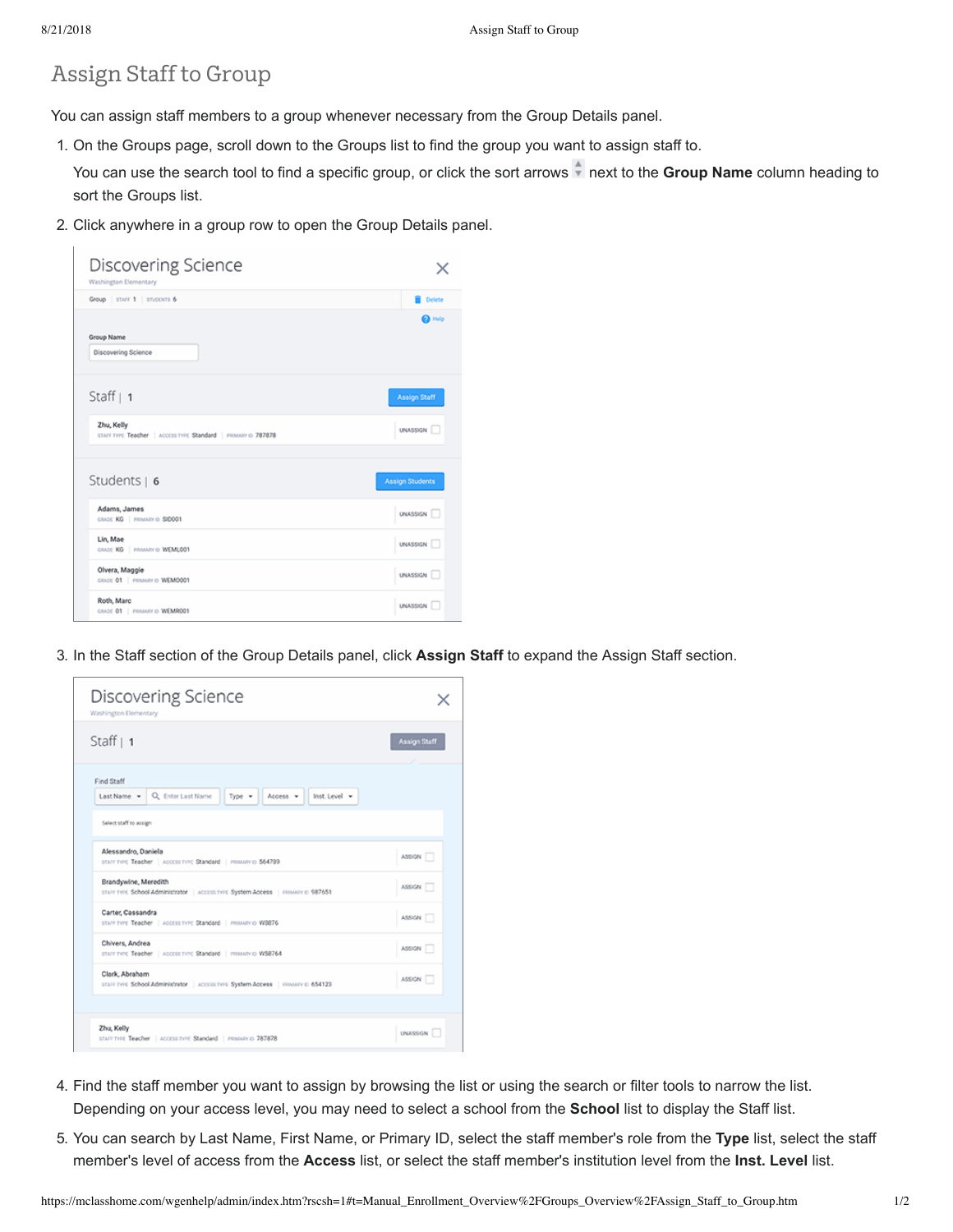## Assign Staff to Group

You can assign staff members to a group whenever necessary from the Group Details panel.

1. On the Groups page, scroll down to the Groups list to find the group you want to assign staff to.

You can use the search tool to find a specific group, or click the sort arrows next to the **Group Name** column heading to sort the Groups list.

2. Click anywhere in a group row to open the Group Details panel.

| Discovering Science<br>Washington Elementary                                |                        |
|-----------------------------------------------------------------------------|------------------------|
| Group   STAFF 1   STUDENTS 6                                                | <b>Delete</b>          |
| Group Name<br>Discovering Science                                           | <b>O</b> Help          |
| Staff $\vert$ 1                                                             | <b>Assign Staff</b>    |
| Zhu, Kelly<br>STAFF TYPE Teacher   ACCESS TYPE Standard   PRIMARY ID 787878 | UNASSIGN I             |
| Students $  6$                                                              | <b>Assign Students</b> |
| Adams, James<br>CRADE KG   PRIMARY ID SIDOOT                                | UNASSIGN T             |
| Lin, Mae<br>GRADE KG   PRIMARY ID WEMLOOT                                   | UNASSIGN               |
| Olvera, Maggie<br>GRADE 01   PRIMARY ID WEMOOO1                             | UNASSIGN T             |
| Roth, Marc<br>CRADE 01   PRIMARY ID WEMRODT                                 | <b>UNASSIGN</b>        |

3. In the Staff section of the Group Details panel, click **Assign Staff** to expand the Assign Staff section.

| <b>Discovering Science</b><br>Washington Elementary                                                                                                                                     |                      |
|-----------------------------------------------------------------------------------------------------------------------------------------------------------------------------------------|----------------------|
| Staff $ 1$                                                                                                                                                                              | Assign Staff         |
| Find Staff<br>Last Name v Q. Enter Last Name<br>Type $\mathbf{v}$   Access $\mathbf{v}$  <br>Inst. Level v<br>Select staff to assign                                                    |                      |
| Alessandro, Daniela<br>STAFF TYPE Teacher   ACCESS TYPE Standard   PRIMARY ID 564789<br>Brandywine, Meredith                                                                            | ASSIGN  <br>ASSIGN T |
| STAFF TYPE School Administrator   ACCESS TYPE System Access   FRIMARY ID 987651<br>Carter, Cassandra<br>starr tyre Teacher   Access tyre Standard   PRIMARY ID W3876<br>Chivers, Andrea | ASSIGN T             |
| STAFF TYPE Teacher   ACCESS TYPE Standard   PRIMARY ID W58764<br>Clark, Abraham<br>STAFF TYPE School Administrator   ACCESS TYPE System Access   FERNAPY C 654123                       | ASSIGN T<br>ASSIGN I |
| Zhu, Kelly<br>STAFF TYPE Teacher   ACCESS TYPE Standard   PRIMARY ID 787878                                                                                                             | UNASSIGN             |

- 4. Find the staff member you want to assign by browsing the list or using the search or filter tools to narrow the list. Depending on your access level, you may need to select a school from the **School** list to display the Staff list.
- 5. You can search by Last Name, First Name, or Primary ID, select the staff member's role from the **Type** list, select the staff member's level of access from the **Access** list, or select the staff member's institution level from the **Inst. Level** list.